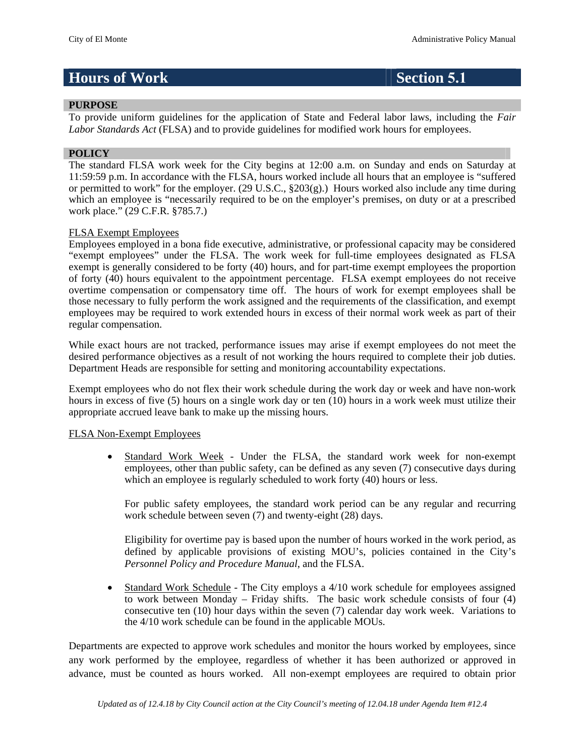# **Hours of Work Section 5.1**

## **PURPOSE**

To provide uniform guidelines for the application of State and Federal labor laws, including the *Fair Labor Standards Act* (FLSA) and to provide guidelines for modified work hours for employees.

### **POLICY**

The standard FLSA work week for the City begins at 12:00 a.m. on Sunday and ends on Saturday at 11:59:59 p.m. In accordance with the FLSA, hours worked include all hours that an employee is "suffered or permitted to work" for the employer. (29 U.S.C.,  $\S 203(g)$ .) Hours worked also include any time during which an employee is "necessarily required to be on the employer's premises, on duty or at a prescribed work place." (29 C.F.R. §785.7.)

### FLSA Exempt Employees

Employees employed in a bona fide executive, administrative, or professional capacity may be considered "exempt employees" under the FLSA. The work week for full-time employees designated as FLSA exempt is generally considered to be forty (40) hours, and for part-time exempt employees the proportion of forty (40) hours equivalent to the appointment percentage. FLSA exempt employees do not receive overtime compensation or compensatory time off. The hours of work for exempt employees shall be those necessary to fully perform the work assigned and the requirements of the classification, and exempt employees may be required to work extended hours in excess of their normal work week as part of their regular compensation.

While exact hours are not tracked, performance issues may arise if exempt employees do not meet the desired performance objectives as a result of not working the hours required to complete their job duties. Department Heads are responsible for setting and monitoring accountability expectations.

Exempt employees who do not flex their work schedule during the work day or week and have non-work hours in excess of five (5) hours on a single work day or ten (10) hours in a work week must utilize their appropriate accrued leave bank to make up the missing hours.

### FLSA Non-Exempt Employees

 Standard Work Week - Under the FLSA, the standard work week for non-exempt employees, other than public safety, can be defined as any seven (7) consecutive days during which an employee is regularly scheduled to work forty (40) hours or less.

For public safety employees, the standard work period can be any regular and recurring work schedule between seven (7) and twenty-eight (28) days.

Eligibility for overtime pay is based upon the number of hours worked in the work period, as defined by applicable provisions of existing MOU's, policies contained in the City's *Personnel Policy and Procedure Manual*, and the FLSA.

 Standard Work Schedule - The City employs a 4/10 work schedule for employees assigned to work between Monday – Friday shifts. The basic work schedule consists of four (4) consecutive ten (10) hour days within the seven (7) calendar day work week. Variations to the 4/10 work schedule can be found in the applicable MOUs.

Departments are expected to approve work schedules and monitor the hours worked by employees, since any work performed by the employee, regardless of whether it has been authorized or approved in advance, must be counted as hours worked. All non-exempt employees are required to obtain prior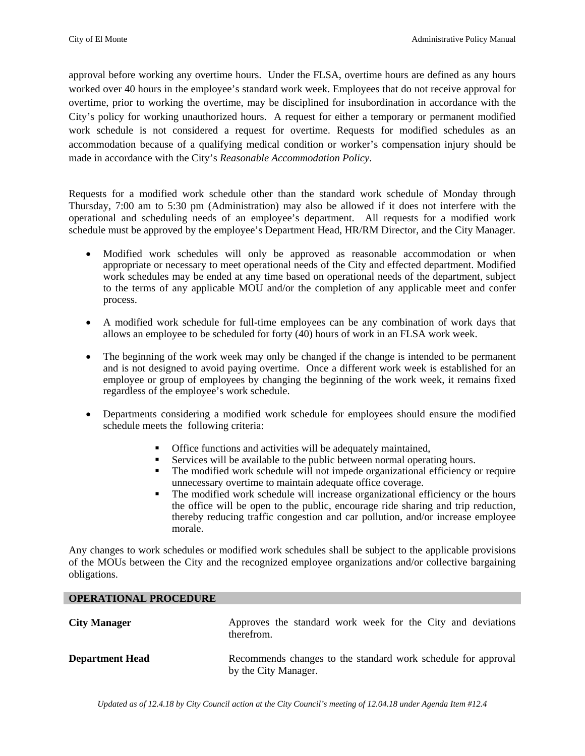approval before working any overtime hours. Under the FLSA, overtime hours are defined as any hours worked over 40 hours in the employee's standard work week. Employees that do not receive approval for overtime, prior to working the overtime, may be disciplined for insubordination in accordance with the City's policy for working unauthorized hours. A request for either a temporary or permanent modified work schedule is not considered a request for overtime. Requests for modified schedules as an accommodation because of a qualifying medical condition or worker's compensation injury should be made in accordance with the City's *Reasonable Accommodation Policy*.

Requests for a modified work schedule other than the standard work schedule of Monday through Thursday, 7:00 am to 5:30 pm (Administration) may also be allowed if it does not interfere with the operational and scheduling needs of an employee's department. All requests for a modified work schedule must be approved by the employee's Department Head, HR/RM Director, and the City Manager.

- Modified work schedules will only be approved as reasonable accommodation or when appropriate or necessary to meet operational needs of the City and effected department. Modified work schedules may be ended at any time based on operational needs of the department, subject to the terms of any applicable MOU and/or the completion of any applicable meet and confer process.
- A modified work schedule for full-time employees can be any combination of work days that allows an employee to be scheduled for forty (40) hours of work in an FLSA work week.
- The beginning of the work week may only be changed if the change is intended to be permanent and is not designed to avoid paying overtime. Once a different work week is established for an employee or group of employees by changing the beginning of the work week, it remains fixed regardless of the employee's work schedule.
- Departments considering a modified work schedule for employees should ensure the modified schedule meets the following criteria:
	- Office functions and activities will be adequately maintained,
	- Services will be available to the public between normal operating hours.
	- The modified work schedule will not impede organizational efficiency or require unnecessary overtime to maintain adequate office coverage.
	- The modified work schedule will increase organizational efficiency or the hours the office will be open to the public, encourage ride sharing and trip reduction, thereby reducing traffic congestion and car pollution, and/or increase employee morale.

Any changes to work schedules or modified work schedules shall be subject to the applicable provisions of the MOUs between the City and the recognized employee organizations and/or collective bargaining obligations.

## **OPERATIONAL PROCEDURE**

| <b>City Manager</b>    | Approves the standard work week for the City and deviations<br>therefrom.             |
|------------------------|---------------------------------------------------------------------------------------|
| <b>Department Head</b> | Recommends changes to the standard work schedule for approval<br>by the City Manager. |